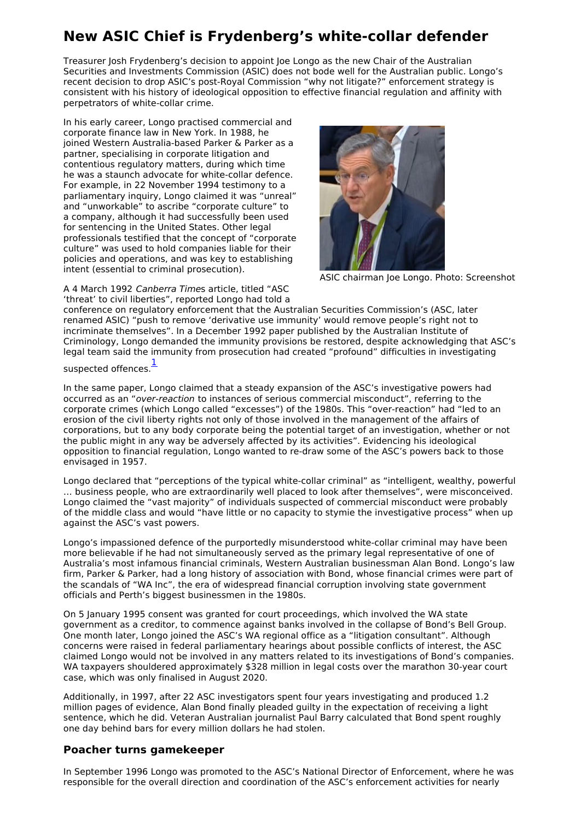# **New ASIC Chief is Frydenberg's white-collar defender**

Treasurer Josh Frydenberg's decision to appoint Joe Longo as the new Chair of the Australian Securities and Investments Commission (ASIC) does not bode well for the Australian public. Longo's recent decision to drop ASIC's post-Royal Commission "why not litigate?" enforcement strategy is consistent with his history of ideological opposition to effective financial regulation and affinity with perpetrators of white-collar crime.

In his early career, Longo practised commercial and corporate finance law in New York. In 1988, he joined Western Australia-based Parker & Parker as a partner, specialising in corporate litigation and contentious regulatory matters, during which time he was a staunch advocate for white-collar defence. For example, in 22 November 1994 testimony to a parliamentary inquiry, Longo claimed it was "unreal" and "unworkable" to ascribe "corporate culture" to a company, although it had successfully been used for sentencing in the United States. Other legal professionals testified that the concept of "corporate culture" was used to hold companies liable for their policies and operations, and was key to establishing intent (essential to criminal prosecution).



ASIC chairman Joe Longo. Photo: Screenshot

A 4 March 1992 Canberra Times article, titled "ASC 'threat' to civil liberties", reported Longo had told a

conference on regulatory enforcement that the Australian Securities Commission's (ASC, later renamed ASIC) "push to remove 'derivative use immunity' would remove people's right not to incriminate themselves". In a December 1992 paper published by the Australian Institute of Criminology, Longo demanded the immunity provisions be restored, despite acknowledging that ASC's legal team said the immunity from prosecution had created "profound" difficulties in investigating

<span id="page-0-0"></span>suspected offences.<sup>[1](#page-2-0)</sup>

In the same paper, Longo claimed that a steady expansion of the ASC's investigative powers had occurred as an "over-reaction to instances of serious commercial misconduct", referring to the corporate crimes (which Longo called "excesses") of the 1980s. This "over-reaction" had "led to an erosion of the civil liberty rights not only of those involved in the management of the affairs of corporations, but to any body corporate being the potential target of an investigation, whether or not the public might in any way be adversely affected by its activities". Evidencing his ideological opposition to financial regulation, Longo wanted to re-draw some of the ASC's powers back to those envisaged in 1957.

Longo declared that "perceptions of the typical white-collar criminal" as "intelligent, wealthy, powerful … business people, who are extraordinarily well placed to look after themselves", were misconceived. Longo claimed the "vast majority" of individuals suspected of commercial misconduct were probably of the middle class and would "have little or no capacity to stymie the investigative process" when up against the ASC's vast powers.

Longo's impassioned defence of the purportedly misunderstood white-collar criminal may have been more believable if he had not simultaneously served as the primary legal representative of one of Australia's most infamous financial criminals, Western Australian businessman Alan Bond. Longo's law firm, Parker & Parker, had a long history of association with Bond, whose financial crimes were part of the scandals of "WA Inc", the era of widespread financial corruption involving state government officials and Perth's biggest businessmen in the 1980s.

On 5 January 1995 consent was granted for court proceedings, which involved the WA state government as a creditor, to commence against banks involved in the collapse of Bond's Bell Group. One month later, Longo joined the ASC's WA regional office as a "litigation consultant". Although concerns were raised in federal parliamentary hearings about possible conflicts of interest, the ASC claimed Longo would not be involved in any matters related to its investigations of Bond's companies. WA taxpayers shouldered approximately \$328 million in legal costs over the marathon 30-year court case, which was only finalised in August 2020.

Additionally, in 1997, after 22 ASC investigators spent four years investigating and produced 1.2 million pages of evidence, Alan Bond finally pleaded guilty in the expectation of receiving a light sentence, which he did. Veteran Australian journalist Paul Barry calculated that Bond spent roughly one day behind bars for every million dollars he had stolen.

### **Poacher turns gamekeeper**

In September 1996 Longo was promoted to the ASC's National Director of Enforcement, where he was responsible for the overall direction and coordination of the ASC's enforcement activities for nearly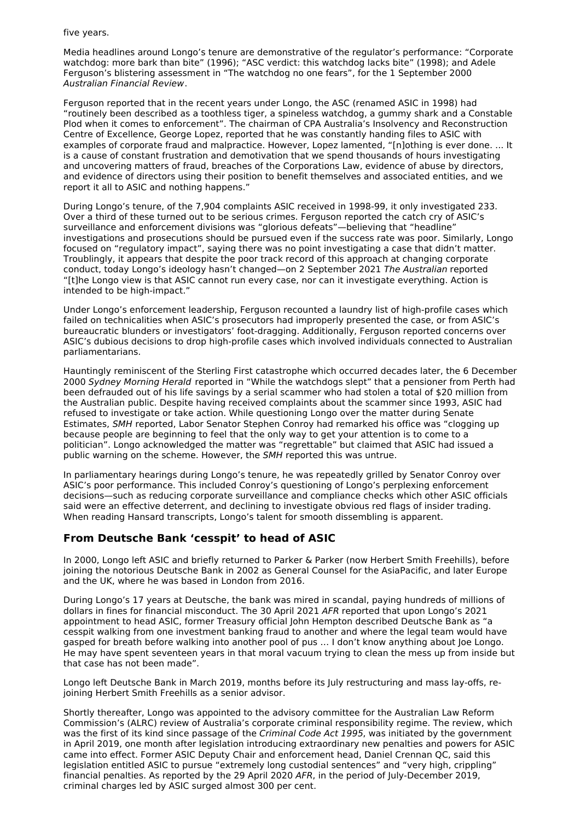#### five years.

Media headlines around Longo's tenure are demonstrative of the regulator's performance: "Corporate watchdog: more bark than bite" (1996); "ASC verdict: this watchdog lacks bite" (1998); and Adele Ferguson's blistering assessment in "The watchdog no one fears", for the 1 September 2000 Australian Financial Review.

Ferguson reported that in the recent years under Longo, the ASC (renamed ASIC in 1998) had "routinely been described as a toothless tiger, a spineless watchdog, a gummy shark and a Constable Plod when it comes to enforcement". The chairman of CPA Australia's Insolvency and Reconstruction Centre of Excellence, George Lopez, reported that he was constantly handing files to ASIC with examples of corporate fraud and malpractice. However, Lopez lamented, "[n]othing is ever done. ... It is a cause of constant frustration and demotivation that we spend thousands of hours investigating and uncovering matters of fraud, breaches of the Corporations Law, evidence of abuse by directors, and evidence of directors using their position to benefit themselves and associated entities, and we report it all to ASIC and nothing happens."

During Longo's tenure, of the 7,904 complaints ASIC received in 1998-99, it only investigated 233. Over a third of these turned out to be serious crimes. Ferguson reported the catch cry of ASIC's surveillance and enforcement divisions was "glorious defeats"—believing that "headline" investigations and prosecutions should be pursued even if the success rate was poor. Similarly, Longo focused on "regulatory impact", saying there was no point investigating a case that didn't matter. Troublingly, it appears that despite the poor track record of this approach at changing corporate conduct, today Longo's ideology hasn't changed—on 2 September 2021 The Australian reported "[t]he Longo view is that ASIC cannot run every case, nor can it investigate everything. Action is intended to be high-impact."

Under Longo's enforcement leadership, Ferguson recounted a laundry list of high-profile cases which failed on technicalities when ASIC's prosecutors had improperly presented the case, or from ASIC's bureaucratic blunders or investigators' foot-dragging. Additionally, Ferguson reported concerns over ASIC's dubious decisions to drop high-profile cases which involved individuals connected to Australian parliamentarians.

Hauntingly reminiscent of the Sterling First catastrophe which occurred decades later, the 6 December 2000 Sydney Morning Herald reported in "While the watchdogs slept" that a pensioner from Perth had been defrauded out of his life savings by a serial scammer who had stolen a total of \$20 million from the Australian public. Despite having received complaints about the scammer since 1993, ASIC had refused to investigate or take action. While questioning Longo over the matter during Senate Estimates, SMH reported, Labor Senator Stephen Conroy had remarked his office was "clogging up because people are beginning to feel that the only way to get your attention is to come to a politician". Longo acknowledged the matter was "regrettable" but claimed that ASIC had issued a public warning on the scheme. However, the SMH reported this was untrue.

In parliamentary hearings during Longo's tenure, he was repeatedly grilled by Senator Conroy over ASIC's poor performance. This included Conroy's questioning of Longo's perplexing enforcement decisions—such as reducing corporate surveillance and compliance checks which other ASIC officials said were an effective deterrent, and declining to investigate obvious red flags of insider trading. When reading Hansard transcripts, Longo's talent for smooth dissembling is apparent.

### **From Deutsche Bank 'cesspit' to head of ASIC**

In 2000, Longo left ASIC and briefly returned to Parker & Parker (now Herbert Smith Freehills), before joining the notorious Deutsche Bank in 2002 as General Counsel for the AsiaPacific, and later Europe and the UK, where he was based in London from 2016.

During Longo's 17 years at Deutsche, the bank was mired in scandal, paying hundreds of millions of dollars in fines for financial misconduct. The 30 April 2021 AFR reported that upon Longo's 2021 appointment to head ASIC, former Treasury official John Hempton described Deutsche Bank as "a cesspit walking from one investment banking fraud to another and where the legal team would have gasped for breath before walking into another pool of pus … I don't know anything about Joe Longo. He may have spent seventeen years in that moral vacuum trying to clean the mess up from inside but that case has not been made".

Longo left Deutsche Bank in March 2019, months before its July restructuring and mass lay-offs, rejoining Herbert Smith Freehills as a senior advisor.

Shortly thereafter, Longo was appointed to the advisory committee for the Australian Law Reform Commission's (ALRC) review of Australia's corporate criminal responsibility regime. The review, which was the first of its kind since passage of the Criminal Code Act 1995, was initiated by the government in April 2019, one month after legislation introducing extraordinary new penalties and powers for ASIC came into effect. Former ASIC Deputy Chair and enforcement head, Daniel Crennan QC, said this legislation entitled ASIC to pursue "extremely long custodial sentences" and "very high, crippling" financial penalties. As reported by the 29 April 2020 AFR, in the period of July-December 2019, criminal charges led by ASIC surged almost 300 per cent.